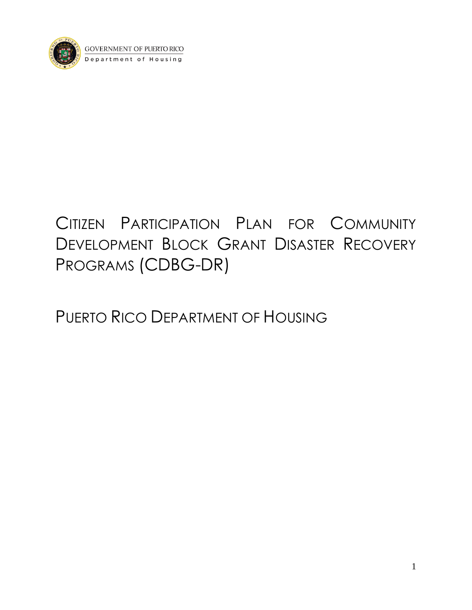

# CITIZEN PARTICIPATION PLAN FOR COMMUNITY DEVELOPMENT BLOCK GRANT DISASTER RECOVERY PROGRAMS (CDBG-DR)

PUERTO RICO DEPARTMENT OF HOUSING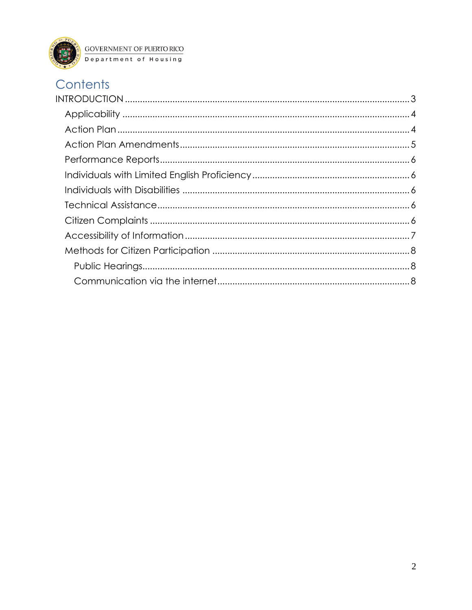

## Contents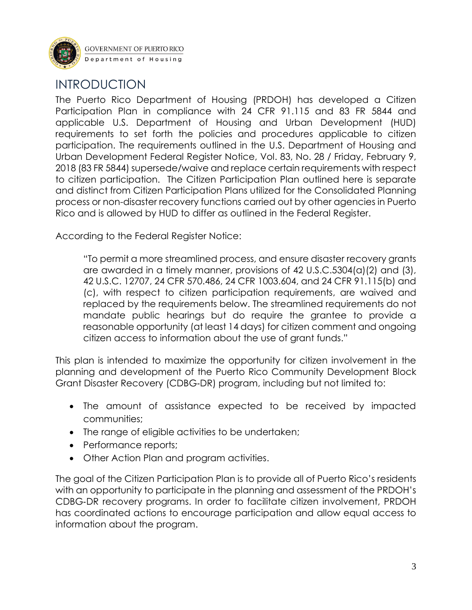

### <span id="page-2-0"></span>INTRODUCTION

The Puerto Rico Department of Housing (PRDOH) has developed a Citizen Participation Plan in compliance with 24 CFR 91.115 and 83 FR 5844 and applicable U.S. Department of Housing and Urban Development (HUD) requirements to set forth the policies and procedures applicable to citizen participation. The requirements outlined in the U.S. Department of Housing and Urban Development Federal Register Notice, Vol. 83, No. 28 / Friday, February 9, 2018 (83 FR 5844) supersede/waive and replace certain requirements with respect to citizen participation. The Citizen Participation Plan outlined here is separate and distinct from Citizen Participation Plans utilized for the Consolidated Planning process or non-disaster recovery functions carried out by other agencies in Puerto Rico and is allowed by HUD to differ as outlined in the Federal Register.

According to the Federal Register Notice:

"To permit a more streamlined process, and ensure disaster recovery grants are awarded in a timely manner, provisions of 42 U.S.C.5304(a)(2) and (3), 42 U.S.C. 12707, 24 CFR 570.486, 24 CFR 1003.604, and 24 CFR 91.115(b) and (c), with respect to citizen participation requirements, are waived and replaced by the requirements below. The streamlined requirements do not mandate public hearings but do require the grantee to provide a reasonable opportunity (at least 14 days) for citizen comment and ongoing citizen access to information about the use of grant funds."

This plan is intended to maximize the opportunity for citizen involvement in the planning and development of the Puerto Rico Community Development Block Grant Disaster Recovery (CDBG‐DR) program, including but not limited to:

- The amount of assistance expected to be received by impacted communities;
- The range of eligible activities to be undertaken;
- Performance reports;
- Other Action Plan and program activities.

The goal of the Citizen Participation Plan is to provide all of Puerto Rico's residents with an opportunity to participate in the planning and assessment of the PRDOH's CDBG‐DR recovery programs. In order to facilitate citizen involvement, PRDOH has coordinated actions to encourage participation and allow equal access to information about the program.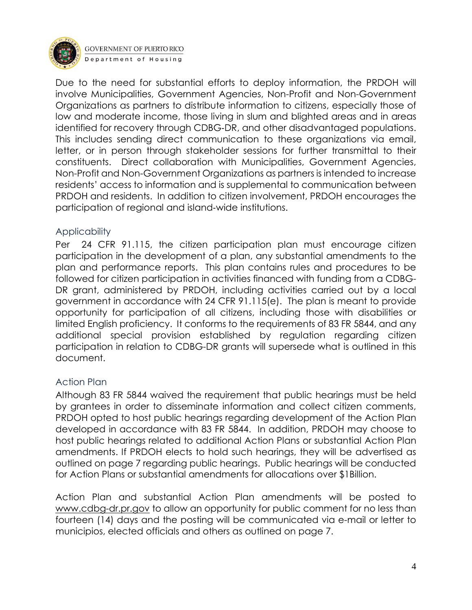

Due to the need for substantial efforts to deploy information, the PRDOH will involve Municipalities, Government Agencies, Non-Profit and Non-Government Organizations as partners to distribute information to citizens, especially those of low and moderate income, those living in slum and blighted areas and in areas identified for recovery through CDBG‐DR, and other disadvantaged populations. This includes sending direct communication to these organizations via email, letter, or in person through stakeholder sessions for further transmittal to their constituents. Direct collaboration with Municipalities, Government Agencies, Non-Profit and Non-Government Organizations as partners is intended to increase residents' access to information and is supplemental to communication between PRDOH and residents. In addition to citizen involvement, PRDOH encourages the participation of regional and island‐wide institutions.

#### <span id="page-3-0"></span>Applicability

Per 24 CFR 91.115, the citizen participation plan must encourage citizen participation in the development of a plan, any substantial amendments to the plan and performance reports. This plan contains rules and procedures to be followed for citizen participation in activities financed with funding from a CDBG-DR grant, administered by PRDOH, including activities carried out by a local government in accordance with 24 CFR 91.115(e). The plan is meant to provide opportunity for participation of all citizens, including those with disabilities or limited English proficiency. It conforms to the requirements of 83 FR 5844, and any additional special provision established by regulation regarding citizen participation in relation to CDBG-DR grants will supersede what is outlined in this document.

#### <span id="page-3-1"></span>Action Plan

Although 83 FR 5844 waived the requirement that public hearings must be held by grantees in order to disseminate information and collect citizen comments, PRDOH opted to host public hearings regarding development of the Action Plan developed in accordance with 83 FR 5844. In addition, PRDOH may choose to host public hearings related to additional Action Plans or substantial Action Plan amendments. If PRDOH elects to hold such hearings, they will be advertised as outlined on page 7 regarding public hearings. Public hearings will be conducted for Action Plans or substantial amendments for allocations over \$1Billion.

Action Plan and substantial Action Plan amendments will be posted to [www.cdbg-dr.pr.gov](http://www.cdbg-dr.pr.gov/) to allow an opportunity for public comment for no less than fourteen (14) days and the posting will be communicated via e-mail or letter to municipios, elected officials and others as outlined on page 7.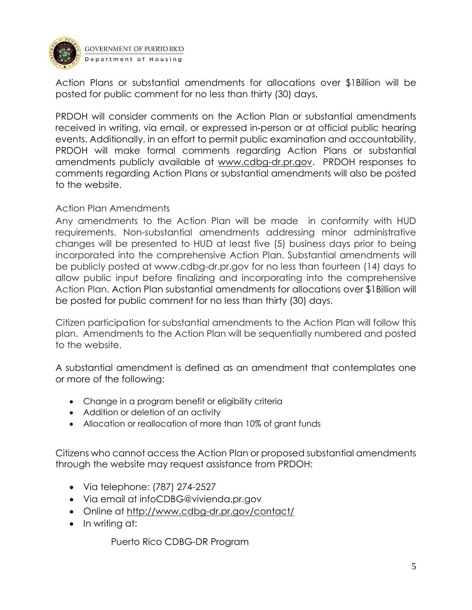

Action Plans or substantial amendments for allocations over \$1Billion will be posted for public comment for no less than thirty (30) days.

PRDOH will consider comments on the Action Plan or substantial amendments received in writing, via email, or expressed in‐person or at official public hearing events. Additionally, in an effort to permit public examination and accountability, PRDOH will make formal comments regarding Action Plans or substantial amendments publicly available at [www.cdbg-dr.pr.gov.](http://www.cdbg-dr.pr.gov/) PRDOH responses to comments regarding Action Plans or substantial amendments will also be posted to the website.

#### <span id="page-4-0"></span>Action Plan Amendments

Any amendments to the Action Plan will be made in conformity with HUD requirements. Non-substantial amendments addressing minor administrative changes will be presented to HUD at least five (5) business days prior to being incorporated into the comprehensive Action Plan. Substantial amendments will be publicly posted at www.cdbg-dr.pr.gov for no less than fourteen (14) days to allow public input before finalizing and incorporating into the comprehensive Action Plan. Action Plan substantial amendments for allocations over \$1Billion will be posted for public comment for no less than thirty (30) days.

Citizen participation for substantial amendments to the Action Plan will follow this plan. Amendments to the Action Plan will be sequentially numbered and posted to the website.

A substantial amendment is defined as an amendment that contemplates one or more of the following:

- Change in a program benefit or eligibility criteria
- Addition or deletion of an activity
- Allocation or reallocation of more than 10% of grant funds

Citizens who cannot access the Action Plan or proposed substantial amendments through the website may request assistance from PRDOH:

- Via telephone: (787) 274-2527
- Via email at infoCDBG@vivienda.pr.gov
- Online at<http://www.cdbg-dr.pr.gov/contact/>
- In writing at:

Puerto Rico CDBG-DR Program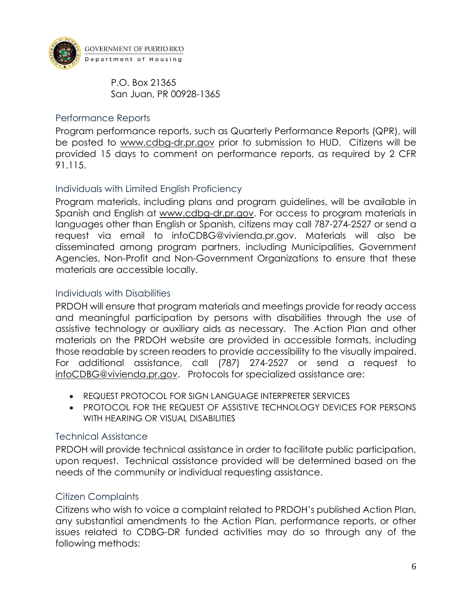

P.O. Box 21365 San Juan, PR 00928-1365

#### <span id="page-5-0"></span>Performance Reports

Program performance reports, such as Quarterly Performance Reports (QPR), will be posted to [www.cdbg-dr.pr.gov](http://www.cdbg-dr.pr.gov/) prior to submission to HUD. Citizens will be provided 15 days to comment on performance reports, as required by 2 CFR 91.115.

#### <span id="page-5-1"></span>Individuals with Limited English Proficiency

Program materials, including plans and program guidelines, will be available in Spanish and English at [www.cdbg-dr.pr.gov.](http://www.cdbg-dr.pr.gov/) For access to program materials in languages other than English or Spanish, citizens may call 787-274-2527 or send a request via email to [infoCDBG@vivienda.pr.gov.](mailto:infoCDBG@vivienda.pr.gov) Materials will also be disseminated among program partners, including Municipalities, Government Agencies, Non-Profit and Non-Government Organizations to ensure that these materials are accessible locally.

#### <span id="page-5-2"></span>Individuals with Disabilities

PRDOH will ensure that program materials and meetings provide for ready access and meaningful participation by persons with disabilities through the use of assistive technology or auxiliary aids as necessary. The Action Plan and other materials on the PRDOH website are provided in accessible formats, including those readable by screen readers to provide accessibility to the visually impaired. For additional assistance, call (787) 274-2527 or send a request to [infoCDBG@vivienda.pr.gov.](mailto:infoCDBG@vivienda.pr.gov) Protocols for specialized assistance are:

- REQUEST PROTOCOL FOR SIGN LANGUAGE INTERPRETER SERVICES
- PROTOCOL FOR THE REQUEST OF ASSISTIVE TECHNOLOGY DEVICES FOR PERSONS WITH HEARING OR VISUAL DISABILITIES

#### <span id="page-5-3"></span>Technical Assistance

PRDOH will provide technical assistance in order to facilitate public participation, upon request. Technical assistance provided will be determined based on the needs of the community or individual requesting assistance.

#### <span id="page-5-4"></span>Citizen Complaints

Citizens who wish to voice a complaint related to PRDOH's published Action Plan, any substantial amendments to the Action Plan, performance reports, or other issues related to CDBG-DR funded activities may do so through any of the following methods: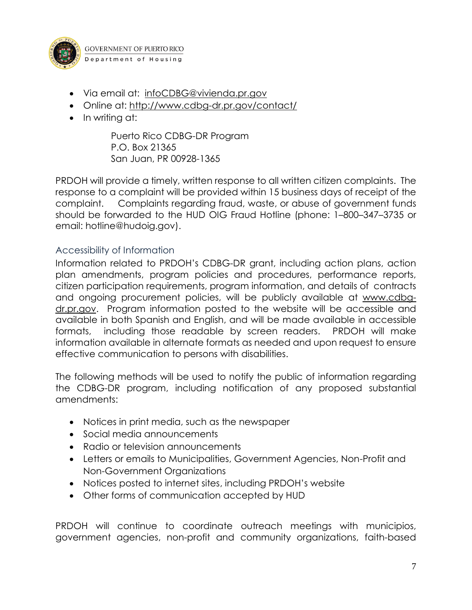

- Via email at: [infoCDBG@vivienda.pr.gov](mailto:infoCDBG@vivienda.pr.gov)
- Online at: <http://www.cdbg-dr.pr.gov/contact/>
- In writing at:

Puerto Rico CDBG-DR Program P.O. Box 21365 San Juan, PR 00928-1365

PRDOH will provide a timely, written response to all written citizen complaints. The response to a complaint will be provided within 15 business days of receipt of the complaint. Complaints regarding fraud, waste, or abuse of government funds should be forwarded to the HUD OIG Fraud Hotline (phone: 1–800–347–3735 or email: hotline@hudoig.gov).

#### <span id="page-6-0"></span>Accessibility of Information

Information related to PRDOH's CDBG-DR grant, including action plans, action plan amendments, program policies and procedures, performance reports, citizen participation requirements, program information, and details of contracts and ongoing procurement policies, will be publicly available at [www.cdbg](http://www.cdbg-dr.pr.gov/)[dr.pr.gov.](http://www.cdbg-dr.pr.gov/) Program information posted to the website will be accessible and available in both Spanish and English, and will be made available in accessible formats, including those readable by screen readers. PRDOH will make information available in alternate formats as needed and upon request to ensure effective communication to persons with disabilities.

The following methods will be used to notify the public of information regarding the CDBG-DR program, including notification of any proposed substantial amendments:

- Notices in print media, such as the newspaper
- Social media announcements
- Radio or television announcements
- Letters or emails to Municipalities, Government Agencies, Non-Profit and Non-Government Organizations
- Notices posted to internet sites, including PRDOH's website
- Other forms of communication accepted by HUD

PRDOH will continue to coordinate outreach meetings with municipios, government agencies, non-profit and community organizations, faith-based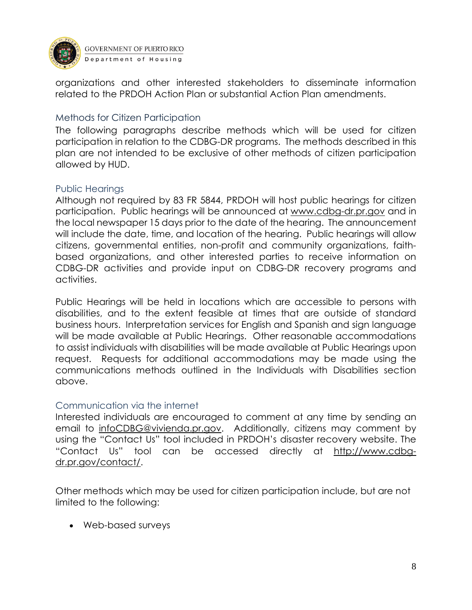

organizations and other interested stakeholders to disseminate information related to the PRDOH Action Plan or substantial Action Plan amendments.

#### <span id="page-7-0"></span>Methods for Citizen Participation

The following paragraphs describe methods which will be used for citizen participation in relation to the CDBG-DR programs. The methods described in this plan are not intended to be exclusive of other methods of citizen participation allowed by HUD.

#### <span id="page-7-1"></span>Public Hearings

Although not required by 83 FR 5844, PRDOH will host public hearings for citizen participation. Public hearings will be announced at [www.cdbg-dr.pr.gov](http://www.cdbg-dr.pr.gov/) and in the local newspaper 15 days prior to the date of the hearing. The announcement will include the date, time, and location of the hearing. Public hearings will allow citizens, governmental entities, non-profit and community organizations, faithbased organizations, and other interested parties to receive information on CDBG-DR activities and provide input on CDBG-DR recovery programs and activities.

Public Hearings will be held in locations which are accessible to persons with disabilities, and to the extent feasible at times that are outside of standard business hours. Interpretation services for English and Spanish and sign language will be made available at Public Hearings. Other reasonable accommodations to assist individuals with disabilities will be made available at Public Hearings upon request. Requests for additional accommodations may be made using the communications methods outlined in the Individuals with Disabilities section above.

#### <span id="page-7-2"></span>Communication via the internet

Interested individuals are encouraged to comment at any time by sending an email to [infoCDBG@vivienda.pr.gov.](mailto:infoCDBG@vivienda.pr.gov) Additionally, citizens may comment by using the "Contact Us" tool included in PRDOH's disaster recovery website. The "Contact Us" tool can be accessed directly at [http://www.cdbg](http://www.cdbg-dr.pr.gov/contact/)[dr.pr.gov/contact/.](http://www.cdbg-dr.pr.gov/contact/)

Other methods which may be used for citizen participation include, but are not limited to the following:

• Web-based surveys